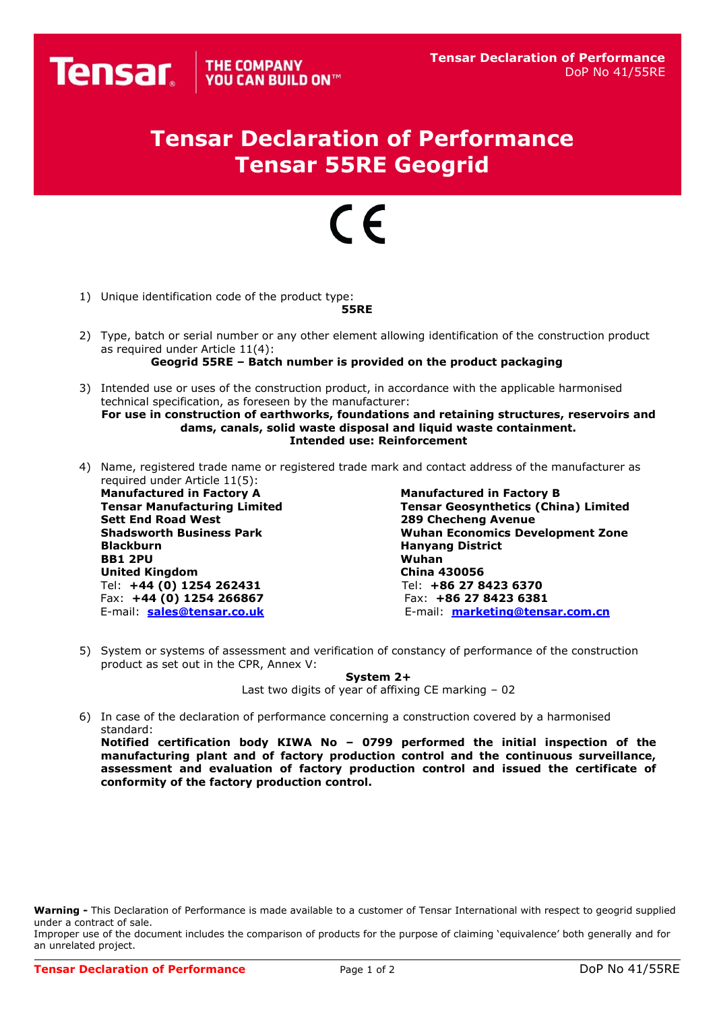## **Tensar Declaration of Performance Tensar 55RE Geogrid**

## $\epsilon$

1) Unique identification code of the product type:

## **55RE**

- 2) Type, batch or serial number or any other element allowing identification of the construction product as required under Article 11(4):
	- **Geogrid 55RE – Batch number is provided on the product packaging**
- 3) Intended use or uses of the construction product, in accordance with the applicable harmonised technical specification, as foreseen by the manufacturer: **For use in construction of earthworks, foundations and retaining structures, reservoirs and**

**dams, canals, solid waste disposal and liquid waste containment. Intended use: Reinforcement**

4) Name, registered trade name or registered trade mark and contact address of the manufacturer as required under Article 11(5):

**Manufactured in Factory A Manufactured in Factory B BB1 2PU United Kingdom China 430056** Tel: **+44 (0) 1254 262431** Tel: **+86 27 8423 6370** Fax: **+44 (0) 1254 266867** Fax: **+86 27 8423 6381**

**Tensar Manufacturing Limited Tensar Geosynthetics (China) Limited 289 Checheng Avenue Shadsworth Business Park Wuhan Economics Development Zone Hanyang District<br>Wuhan** E-mail: **[sales@tensar.co.uk](mailto:sales@tensar.co.uk)** E-mail: **[marketing@tensar.com.cn](mailto:marketing@tensar.com.cn)**

5) System or systems of assessment and verification of constancy of performance of the construction product as set out in the CPR, Annex V:

**System 2+**

Last two digits of year of affixing CE marking – 02

6) In case of the declaration of performance concerning a construction covered by a harmonised standard:

**Notified certification body KIWA No – 0799 performed the initial inspection of the manufacturing plant and of factory production control and the continuous surveillance, assessment and evaluation of factory production control and issued the certificate of conformity of the factory production control.**

**Warning -** This Declaration of Performance is made available to a customer of Tensar International with respect to geogrid supplied under a contract of sale.

Improper use of the document includes the comparison of products for the purpose of claiming 'equivalence' both generally and for an unrelated project.